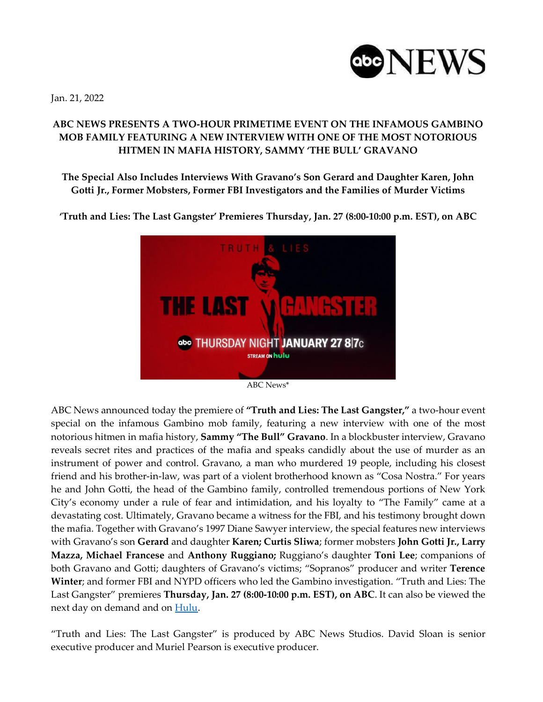

Jan. 21, 2022

## **ABC NEWS PRESENTS A TWO-HOUR PRIMETIME EVENT ON THE INFAMOUS GAMBINO MOB FAMILY FEATURING A NEW INTERVIEW WITH ONE OF THE MOST NOTORIOUS HITMEN IN MAFIA HISTORY, SAMMY 'THE BULL' GRAVANO**

**The Special Also Includes Interviews With Gravano's Son Gerard and Daughter Karen, John Gotti Jr., Former Mobsters, Former FBI Investigators and the Families of Murder Victims**

**'Truth and Lies: The Last Gangster' Premieres Thursday, Jan. 27 (8:00-10:00 p.m. EST), on ABC**



ABC News\*

ABC News announced today the premiere of **"Truth and Lies: The Last Gangster,"** a two-hour event special on the infamous Gambino mob family, featuring a new interview with one of the most notorious hitmen in mafia history, **Sammy "The Bull" Gravano**. In a blockbuster interview, Gravano reveals secret rites and practices of the mafia and speaks candidly about the use of murder as an instrument of power and control. Gravano, a man who murdered 19 people, including his closest friend and his brother-in-law, was part of a violent brotherhood known as "Cosa Nostra." For years he and John Gotti, the head of the Gambino family, controlled tremendous portions of New York City's economy under a rule of fear and intimidation, and his loyalty to "The Family" came at a devastating cost. Ultimately, Gravano became a witness for the FBI, and his testimony brought down the mafia. Together with Gravano's 1997 Diane Sawyer interview, the special features new interviews with Gravano's son **Gerard** and daughter **Karen; Curtis Sliwa**; former mobsters **John Gotti Jr., Larry Mazza, Michael Francese** and **Anthony Ruggiano;** Ruggiano's daughter **Toni Lee**; companions of both Gravano and Gotti; daughters of Gravano's victims; "Sopranos" producer and writer **Terence Winter**; and former FBI and NYPD officers who led the Gambino investigation. "Truth and Lies: The Last Gangster" premieres **Thursday, Jan. 27 (8:00-10:00 p.m. EST), on ABC**. It can also be viewed the next day on demand and on [Hulu.](https://nam04.safelinks.protection.outlook.com/?url=https%3A%2F%2Fwww.hulu.com%2Fwelcome&data=04%7C01%7CAngela.Donovan%40disney.com%7C42cb4c8c4d91477a941008d97dffd52a%7C56b731a8a2ac4c32bf6b616810e913c6%7C1%7C0%7C637679360004289162%7CUnknown%7CTWFpbGZsb3d8eyJWIjoiMC4wLjAwMDAiLCJQIjoiV2luMzIiLCJBTiI6Ik1haWwiLCJXVCI6Mn0%3D%7C1000&sdata=CJtbEQr7Gz0PpKjfnHypAAq07rDuDdsTSubv6GnM%2BJU%3D&reserved=0)

"Truth and Lies: The Last Gangster" is produced by ABC News Studios. David Sloan is senior executive producer and Muriel Pearson is executive producer.